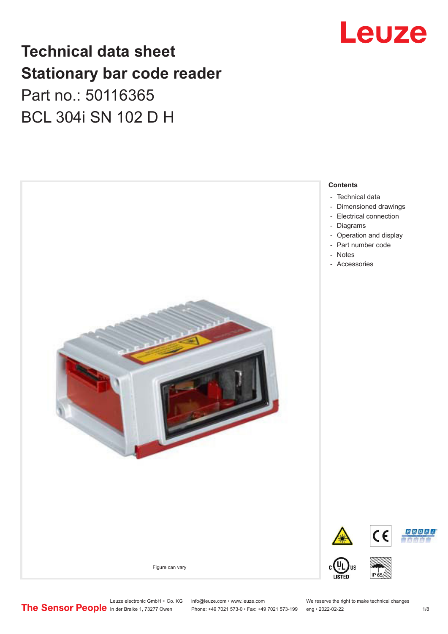## Leuze

## **Technical data sheet Stationary bar code reader** Part no.: 50116365 BCL 304i SN 102 D H

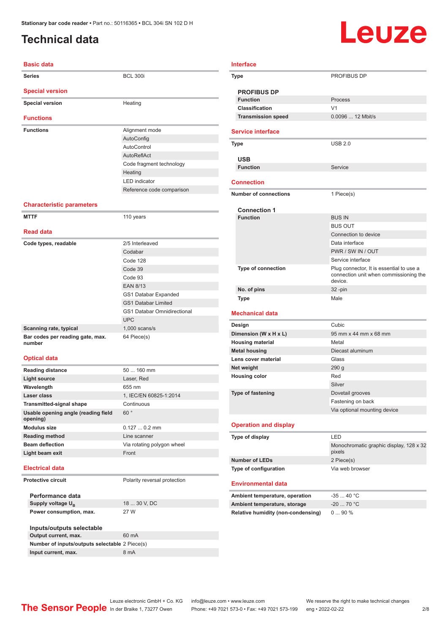### <span id="page-1-0"></span>**Technical data**

# Leuze

| <b>Basic data</b>                          |                                    |  |  |  |  |
|--------------------------------------------|------------------------------------|--|--|--|--|
| <b>Series</b>                              | <b>BCL 300i</b>                    |  |  |  |  |
| <b>Special version</b>                     |                                    |  |  |  |  |
| <b>Special version</b>                     | Heating                            |  |  |  |  |
| <b>Functions</b>                           |                                    |  |  |  |  |
| <b>Functions</b>                           | Alignment mode                     |  |  |  |  |
|                                            | AutoConfig                         |  |  |  |  |
|                                            | AutoControl                        |  |  |  |  |
|                                            | AutoReflAct                        |  |  |  |  |
|                                            | Code fragment technology           |  |  |  |  |
|                                            | Heating                            |  |  |  |  |
|                                            | <b>LED</b> indicator               |  |  |  |  |
|                                            | Reference code comparison          |  |  |  |  |
| <b>Characteristic parameters</b>           |                                    |  |  |  |  |
| <b>MTTF</b>                                | 110 years                          |  |  |  |  |
|                                            |                                    |  |  |  |  |
| <b>Read data</b>                           |                                    |  |  |  |  |
| Code types, readable                       | 2/5 Interleaved                    |  |  |  |  |
|                                            | Codabar                            |  |  |  |  |
|                                            | Code 128                           |  |  |  |  |
|                                            | Code 39                            |  |  |  |  |
|                                            | Code 93                            |  |  |  |  |
|                                            | <b>EAN 8/13</b>                    |  |  |  |  |
|                                            | GS1 Databar Expanded               |  |  |  |  |
|                                            | <b>GS1 Databar Limited</b>         |  |  |  |  |
|                                            | <b>GS1 Databar Omnidirectional</b> |  |  |  |  |
|                                            | <b>UPC</b>                         |  |  |  |  |
| Scanning rate, typical                     |                                    |  |  |  |  |
|                                            | $1,000$ scans/s                    |  |  |  |  |
| Bar codes per reading gate, max.<br>number | 64 Piece(s)                        |  |  |  |  |
| <b>Optical data</b>                        |                                    |  |  |  |  |
| <b>Reading distance</b>                    | 50  160 mm                         |  |  |  |  |
| <b>Light source</b>                        | Laser, Red                         |  |  |  |  |

| Function                                                       | Process                                                                                       |
|----------------------------------------------------------------|-----------------------------------------------------------------------------------------------|
| <b>Classification</b>                                          | V <sub>1</sub>                                                                                |
| <b>Transmission speed</b>                                      | 0.0096  12 Mbit/s                                                                             |
| <b>Service interface</b>                                       |                                                                                               |
| Type                                                           | <b>USB 2.0</b>                                                                                |
| <b>USB</b>                                                     |                                                                                               |
| <b>Function</b>                                                | Service                                                                                       |
| <b>Connection</b>                                              |                                                                                               |
| <b>Number of connections</b>                                   | 1 Piece(s)                                                                                    |
|                                                                |                                                                                               |
| <b>Connection 1</b>                                            |                                                                                               |
| <b>Function</b>                                                | <b>BUS IN</b>                                                                                 |
|                                                                | <b>BUS OUT</b>                                                                                |
|                                                                | Connection to device                                                                          |
|                                                                | Data interface                                                                                |
|                                                                | PWR / SW IN / OUT                                                                             |
|                                                                | Service interface                                                                             |
| Type of connection                                             | Plug connector, It is essential to use a<br>connection unit when commissioning the<br>device. |
| No. of pins                                                    | $32 - pin$                                                                                    |
| <b>Type</b>                                                    | Male                                                                                          |
|                                                                |                                                                                               |
| <b>Mechanical data</b>                                         |                                                                                               |
| Design                                                         | Cubic                                                                                         |
| Dimension (W x H x L)                                          | 95 mm x 44 mm x 68 mm                                                                         |
| <b>Housing material</b>                                        | Metal                                                                                         |
| <b>Metal housing</b>                                           | Diecast aluminum                                                                              |
| Lens cover material                                            | Glass                                                                                         |
| Net weight                                                     | 290 g                                                                                         |
| <b>Housing color</b>                                           | Red                                                                                           |
|                                                                | Silver                                                                                        |
| Type of fastening                                              | Dovetail grooves                                                                              |
|                                                                | Fastening on back                                                                             |
|                                                                | Via optional mounting device                                                                  |
| <b>Operation and display</b>                                   |                                                                                               |
| Type of display                                                |                                                                                               |
|                                                                | Monochromatic graphic display, 128 x 32<br>pixels                                             |
| <b>Number of LEDs</b>                                          | 2 Piece(s)                                                                                    |
| Type of configuration                                          | Via web browser                                                                               |
| <b>Environmental data</b>                                      |                                                                                               |
|                                                                | $-3540 °C$                                                                                    |
|                                                                |                                                                                               |
| Ambient temperature, operation<br>Ambient temperature, storage | $-20$ 70 °C                                                                                   |

#### **Modulus size** 0.127 ... 0.2 mm **Reading method** Line scanner

**opening)**

#### **Electrical data**

**Protective circuit** Polarity reversal protection

**Performance data** Supply voltage U<sub>B</sub> **Power consumption, max.** 27 W

18 ... 30 V, DC

| Inputs/outputs selectable                      |       |
|------------------------------------------------|-------|
| Output current, max.                           | 60 mA |
| Number of inputs/outputs selectable 2 Piece(s) |       |
| Input current, max.                            | 8 mA  |
|                                                |       |

**Laser class** 1, IEC/EN 60825-1:2014

**Beam deflection** Via rotating polygon wheel

60 °

**Transmitted-signal shape Continuous** 

**Light beam exit** Front

**Usable opening angle (reading field** 

**Interface**

**PROFIBUS DP**

**Type** PROFIBUS DP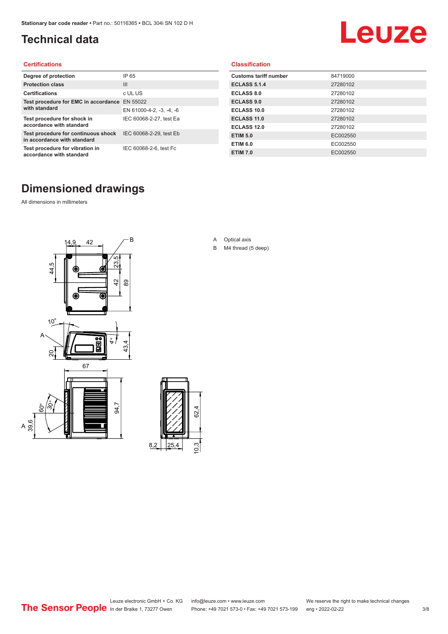### <span id="page-2-0"></span>**Technical data**

# Leuze

#### **Certifications**

| Degree of protection                                               | IP 65                    |
|--------------------------------------------------------------------|--------------------------|
| <b>Protection class</b>                                            | $\mathbf{III}$           |
| <b>Certifications</b>                                              | c UL US                  |
| Test procedure for EMC in accordance                               | EN 55022                 |
| with standard                                                      | EN 61000-4-2, -3, -4, -6 |
| Test procedure for shock in<br>accordance with standard            | IEC 60068-2-27, test Ea  |
| Test procedure for continuous shock<br>in accordance with standard | IEC 60068-2-29, test Eb  |
| Test procedure for vibration in<br>accordance with standard        | IEC 60068-2-6, test Fc   |

#### **Classification**

| <b>Customs tariff number</b> | 84719000 |
|------------------------------|----------|
| <b>ECLASS 5.1.4</b>          | 27280102 |
| <b>ECLASS 8.0</b>            | 27280102 |
| <b>ECLASS 9.0</b>            | 27280102 |
| ECLASS 10.0                  | 27280102 |
| <b>ECLASS 11.0</b>           | 27280102 |
| ECLASS 12.0                  | 27280102 |
| <b>ETIM 5.0</b>              | EC002550 |
| <b>ETIM 6.0</b>              | EC002550 |
| <b>ETIM 7.0</b>              | EC002550 |

### **Dimensioned drawings**

All dimensions in millimeters

 $\overline{A}$ 





- A Optical axis
- B M4 thread (5 deep)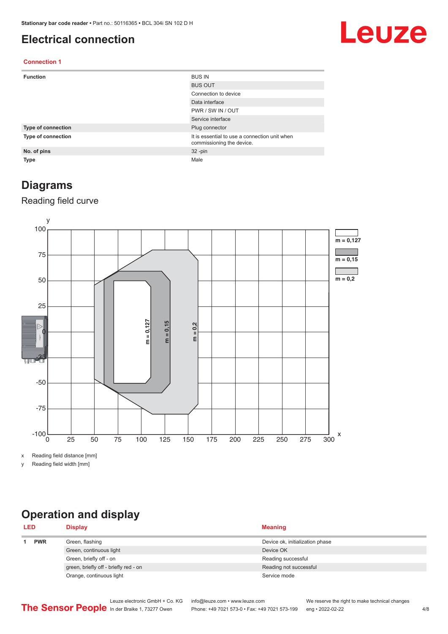#### <span id="page-3-0"></span>**Electrical connection**

## Leuze

#### **Connection 1**

| <b>Function</b>    | <b>BUS IN</b>                                                              |
|--------------------|----------------------------------------------------------------------------|
|                    | <b>BUS OUT</b>                                                             |
|                    | Connection to device                                                       |
|                    | Data interface                                                             |
|                    | PWR / SW IN / OUT                                                          |
|                    | Service interface                                                          |
| Type of connection | Plug connector                                                             |
| Type of connection | It is essential to use a connection unit when<br>commissioning the device. |
| No. of pins        | $32 - pin$                                                                 |
| Type               | Male                                                                       |

#### **Diagrams**

#### Reading field curve



x Reading field distance [mm]

y Reading field width [mm]

### **Operation and display**

| <b>LED</b> |  | <b>Display</b>                        | <b>Meaning</b>                  |  |
|------------|--|---------------------------------------|---------------------------------|--|
| <b>PWR</b> |  | Green, flashing                       | Device ok, initialization phase |  |
|            |  | Green, continuous light               | Device OK                       |  |
|            |  | Green, briefly off - on               | Reading successful              |  |
|            |  | green, briefly off - briefly red - on | Reading not successful          |  |
|            |  | Orange, continuous light              | Service mode                    |  |
|            |  |                                       |                                 |  |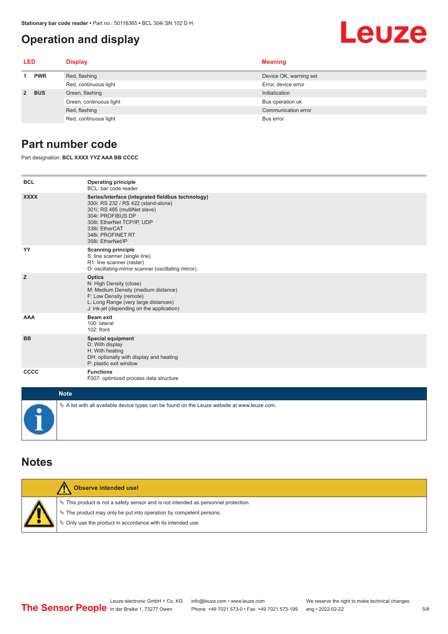#### <span id="page-4-0"></span>**Operation and display**

#### **LED Display Meaning 1 PWR** Red, flashing **Device OK, warning set** Device OK, warning set Red, continuous light Error, device error **2 BUS** Green, flashing **Initialization** Initialization Green, continuous light Bus operation of Bus operation of Bus operation of Bus operation of Red, flashing Communication error communication error communication error communication error Red, continuous light Bus error

#### **Part number code**

Part designation: **BCL XXXX YYZ AAA BB CCCC**

| <b>BCL</b>   | <b>Operating principle</b><br>BCL: bar code reader                                                                                                                                                                                       |
|--------------|------------------------------------------------------------------------------------------------------------------------------------------------------------------------------------------------------------------------------------------|
| <b>XXXX</b>  | Series/interface (integrated fieldbus technology)<br>300i: RS 232 / RS 422 (stand-alone)<br>301i: RS 485 (multiNet slave)<br>304i: PROFIBUS DP<br>308i: EtherNet TCP/IP, UDP<br>338i: EtherCAT<br>348i: PROFINET RT<br>358i: EtherNet/IP |
| YY           | <b>Scanning principle</b><br>S: line scanner (single line)<br>R1: line scanner (raster)<br>O: oscillating-mirror scanner (oscillating mirror)                                                                                            |
| z            | <b>Optics</b><br>N: High Density (close)<br>M: Medium Density (medium distance)<br>F: Low Density (remote)<br>L: Long Range (very large distances)<br>J: ink-jet (depending on the application)                                          |
| <b>AAA</b>   | <b>Beam exit</b><br>100: lateral<br>102: front                                                                                                                                                                                           |
| <b>BB</b>    | <b>Special equipment</b><br>D: With display<br>H: With heating<br>DH: optionally with display and heating<br>P: plastic exit window                                                                                                      |
| <b>CCCC</b>  | <b>Functions</b><br>F007: optimized process data structure                                                                                                                                                                               |
| <b>Ninth</b> |                                                                                                                                                                                                                                          |

| <b>Note</b>                                                                                  |
|----------------------------------------------------------------------------------------------|
| ∜ A list with all available device types can be found on the Leuze website at www.leuze.com. |

#### **Notes**

| Observe intended use!                                                                                                                                                                                                         |
|-------------------------------------------------------------------------------------------------------------------------------------------------------------------------------------------------------------------------------|
| $\%$ This product is not a safety sensor and is not intended as personnel protection.<br>§ The product may only be put into operation by competent persons.<br>$\%$ Only use the product in accordance with its intended use. |

Leuze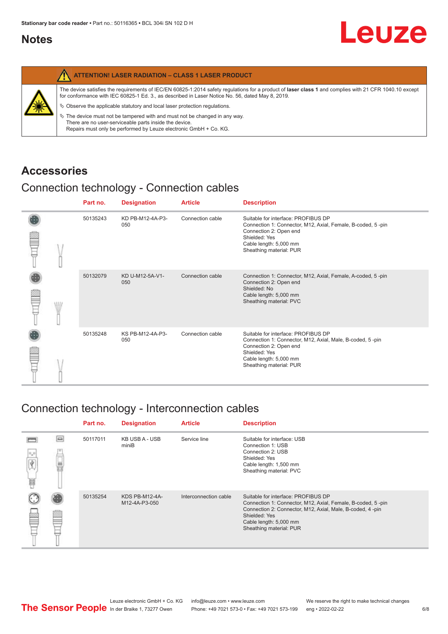#### <span id="page-5-0"></span>**Notes**

|   | <b>ATTENTION! LASER RADIATION - CLASS 1 LASER PRODUCT</b>                                                                                                                                                                                                                                                                                                                                                                                                                                                                                                   |
|---|-------------------------------------------------------------------------------------------------------------------------------------------------------------------------------------------------------------------------------------------------------------------------------------------------------------------------------------------------------------------------------------------------------------------------------------------------------------------------------------------------------------------------------------------------------------|
| 纂 | The device satisfies the requirements of IEC/EN 60825-1:2014 safety regulations for a product of laser class 1 and complies with 21 CFR 1040.10 except<br>for conformance with IEC 60825-1 Ed. 3., as described in Laser Notice No. 56, dated May 8, 2019.<br>$\%$ Observe the applicable statutory and local laser protection regulations.<br>$\%$ The device must not be tampered with and must not be changed in any way.<br>There are no user-serviceable parts inside the device.<br>Repairs must only be performed by Leuze electronic GmbH + Co. KG. |

#### **Accessories**

#### Connection technology - Connection cables

|  | Part no. | <b>Designation</b>      | <b>Article</b>   | <b>Description</b>                                                                                                                                                                                 |
|--|----------|-------------------------|------------------|----------------------------------------------------------------------------------------------------------------------------------------------------------------------------------------------------|
|  | 50135243 | KD PB-M12-4A-P3-<br>050 | Connection cable | Suitable for interface: PROFIBUS DP<br>Connection 1: Connector, M12, Axial, Female, B-coded, 5-pin<br>Connection 2: Open end<br>Shielded: Yes<br>Cable length: 5,000 mm<br>Sheathing material: PUR |
|  | 50132079 | KD U-M12-5A-V1-<br>050  | Connection cable | Connection 1: Connector, M12, Axial, Female, A-coded, 5-pin<br>Connection 2: Open end<br>Shielded: No<br>Cable length: 5,000 mm<br>Sheathing material: PVC                                         |
|  | 50135248 | KS PB-M12-4A-P3-<br>050 | Connection cable | Suitable for interface: PROFIBUS DP<br>Connection 1: Connector, M12, Axial, Male, B-coded, 5-pin<br>Connection 2: Open end<br>Shielded: Yes<br>Cable length: 5,000 mm<br>Sheathing material: PUR   |

#### Connection technology - Interconnection cables

|                            |        | Part no. | <b>Designation</b>              | <b>Article</b>        | <b>Description</b>                                                                                                                                                                                                                    |
|----------------------------|--------|----------|---------------------------------|-----------------------|---------------------------------------------------------------------------------------------------------------------------------------------------------------------------------------------------------------------------------------|
| $\Omega_{\mu} \Omega$<br>畐 | $\Box$ | 50117011 | KB USB A - USB<br>miniB         | Service line          | Suitable for interface: USB<br>Connection 1: USB<br>Connection 2: USB<br>Shielded: Yes<br>Cable length: 1,500 mm<br>Sheathing material: PVC                                                                                           |
|                            |        | 50135254 | KDS PB-M12-4A-<br>M12-4A-P3-050 | Interconnection cable | Suitable for interface: PROFIBUS DP<br>Connection 1: Connector, M12, Axial, Female, B-coded, 5-pin<br>Connection 2: Connector, M12, Axial, Male, B-coded, 4-pin<br>Shielded: Yes<br>Cable length: 5,000 mm<br>Sheathing material: PUR |

Leuze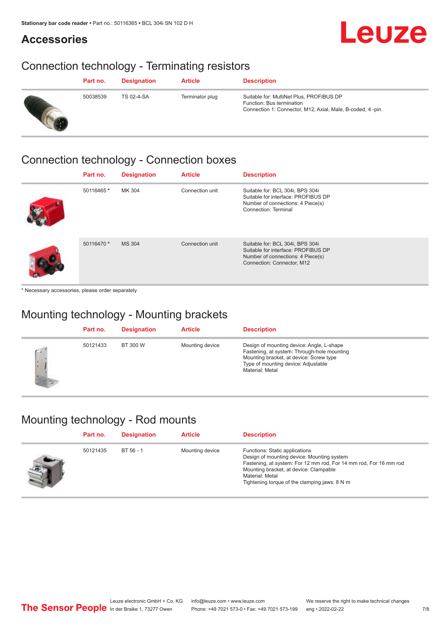#### **Accessories**

## Leuze

### Connection technology - Terminating resistors

| Part no. | <b>Designation</b> | <b>Article</b>  | <b>Description</b>                                                                                                                 |
|----------|--------------------|-----------------|------------------------------------------------------------------------------------------------------------------------------------|
| 50038539 | <b>TS 02-4-SA</b>  | Terminator plug | Suitable for: MultiNet Plus, PROFIBUS DP<br>Function: Bus termination<br>Connection 1: Connector, M12, Axial, Male, B-coded, 4-pin |

#### Connection technology - Connection boxes

| Part no.   | <b>Designation</b> | <b>Article</b>  | <b>Description</b>                                                                                                                         |
|------------|--------------------|-----------------|--------------------------------------------------------------------------------------------------------------------------------------------|
| 50116465 * | MK 304             | Connection unit | Suitable for: BCL 304i, BPS 304i<br>Suitable for interface: PROFIBUS DP<br>Number of connections: 4 Piece(s)<br>Connection: Terminal       |
| 50116470 * | MS 304             | Connection unit | Suitable for: BCL 304i, BPS 304i<br>Suitable for interface: PROFIBUS DP<br>Number of connections: 4 Piece(s)<br>Connection: Connector, M12 |

\* Necessary accessories, please order separately

### Mounting technology - Mounting brackets

|          | Part no. | <b>Designation</b> | <b>Article</b>  | <b>Description</b>                                                                                                                                                                            |
|----------|----------|--------------------|-----------------|-----------------------------------------------------------------------------------------------------------------------------------------------------------------------------------------------|
| Ġ<br>I×. | 50121433 | BT 300 W           | Mounting device | Design of mounting device: Angle, L-shape<br>Fastening, at system: Through-hole mounting<br>Mounting bracket, at device: Screw type<br>Type of mounting device: Adjustable<br>Material: Metal |

### Mounting technology - Rod mounts

| Part no. | <b>Designation</b> | <b>Article</b>  | <b>Description</b>                                                                                                                                                                                                                                                |
|----------|--------------------|-----------------|-------------------------------------------------------------------------------------------------------------------------------------------------------------------------------------------------------------------------------------------------------------------|
| 50121435 | BT 56 - 1          | Mounting device | Functions: Static applications<br>Design of mounting device: Mounting system<br>Fastening, at system: For 12 mm rod, For 14 mm rod, For 16 mm rod<br>Mounting bracket, at device: Clampable<br>Material: Metal<br>Tightening torque of the clamping jaws: $8 N·m$ |